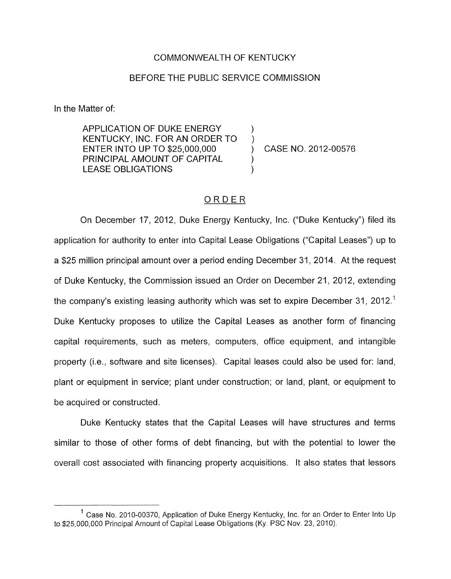## COMMONWEALTH OF KENTUCKY

## BEFORE THE PUBLIC SERVICE COMMISSION

In the Matter of:

APPLICATION OF DUKE ENERGY ENTER INTO UP TO \$25,000,000 (CASE NO. 2012-00576 PRINCIPAL AMOUNT OF CAPITAL<br>LEASE OBLIGATIONS KENTUCKY, INC. FOR AN ORDER TO )

## ORDER

On December 17, 2012, Duke Energy Kentucky, Inc. ("Duke Kentucky") filed its application for authority to enter into Capital Lease Obligations ("Capital Leases") up to a \$25 million principal amount over a period ending December 31 , 2014. At the request of Duke Kentucky, the Commission issued an Order on December 21, 2012, extending the company's existing leasing authority which was set to expire December 31, 2012.' Duke Kentucky proposes to utilize the Capital Leases as another form of financing capital requirements, such as meters, computers, office equipment, and intangible property (i.e., software and site licenses). Capital leases could also be used for: land, plant or equipment in service; plant under construction; or land, plant, or equipment to be acquired or constructed.

Duke Kentucky states that the Capital Leases will have structures and terms similar to those of other forms of debt financing, but with the potential to lower the overall cost associated with financing property acquisitions. It also states that lessors

 $1$  Case No. 2010-00370, Application of Duke Energy Kentucky, Inc. for an Order to Enter Into Up to \$25,000,000 Principal Amount af Capital Lease Obligations (Ky. PSC Nov. 23, 2010).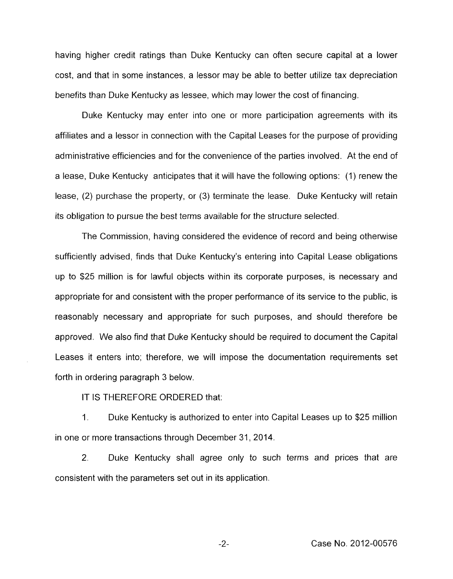having higher credit ratings than Duke Kentucky can often secure capital at a lower cost, and that in some instances, a lessor may be able to better utilize tax depreciation benefits than Duke Kentucky as lessee, which may lower the cost of financing.

Duke Kentucky may enter into one or more participation agreements with its affiliates and a lessor in connection with the Capital Leases for the purpose of providing administrative efficiencies and for the convenience of the parties involved. At the end of a lease, Duke Kentucky anticipates that it will have the following options: (1) renew the lease, (2) purchase the property, or (3) terminate the lease. Duke Kentucky will retain its obligation to pursue the best terms available for the structure selected.

The Commission, having considered the evidence of record and being otherwise sufficiently advised, finds that Duke Kentucky's entering into Capital Lease obligations up to \$25 million is for lawful objects within its corporate purposes, is necessary and appropriate for and consistent with the proper performance of its service to the public, is reasonably necessary and appropriate for such purposes, and should therefore be approved. We also find that Duke Kentucky should be required to document the Capital Leases it enters into; therefore, we will impose the documentation requirements set forth in ordering paragraph 3 below.

IT IS THEREFORE ORDERED that:

1 **I** Duke Kentucky is authorized to enter into Capital Leases up to \$25 million in one or more transactions through December 31 , 2014.

2. Duke Kentucky shall agree only to such terms and prices that are consistent with the parameters set out in its application.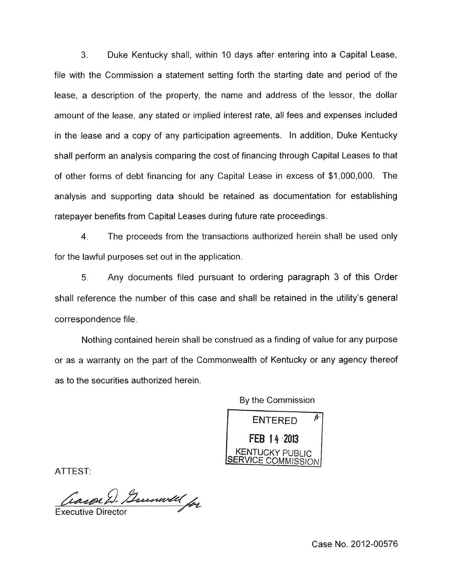**3.** Duke Kentucky shall, within 10 days after entering into a Capital Lease, file with the Commission a statement setting forth the starting date and period of the lease, a description of the property, the name and address of the lessor, the dollar amount of the lease, any stated or implied interest rate, all fees and expenses included in the lease and a copy of any participation agreements. In addition, Duke Kentucky shall perform an analysis comparing the cost of financing through Capital Leases to that of other forms of debt financing for any Capital Lease in excess of \$1,000,000. The analysis and supporting data should be retained as documentation for establishing ratepayer benefits from Capital Leases during future rate proceedings.

**4.** The proceeds from the transactions authorized herein shall be used only for the lawful purposes set out in the application.

*5.* Any documents filed pursuant to ordering paragraph 3 of this Order shall reference the number of this case and shall be retained in the utility's general correspondence file.

Nothing contained herein shall be construed as a finding of value for any purpose or as a warranty on the part of the Commonwealth of Kentucky or any agency thereof as to the securities authorized herein.

By the Commission<br>ENTERED FEB 14 2013 **KENTUCKY PUBLIC** /ICE COMMISSION

ATTEST:

Carpe D. Guenwell